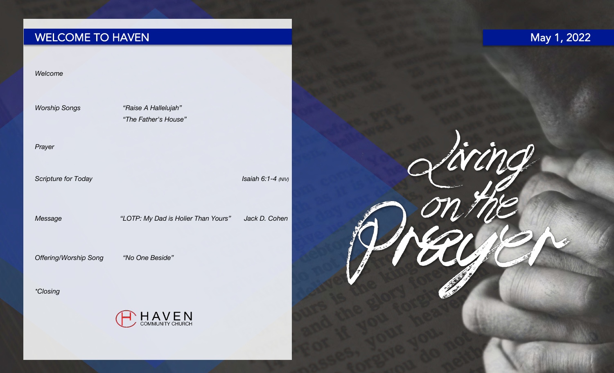# WELCOME TO HAVEN

## May 1, 2022

Living

#### *Welcome*

*Worship Songs "Raise A Hallelujah" "The Father's House"*

#### *Prayer*

**Scripture** *for Today* **Isaiah 6:1-4** *(NIV)* **Isaiah 6:1-4** *(NIV)* 

*Message "LOTP: My Dad is Holier Than Yours" Jack D. Cohen*

*Offering/Worship Song "No One Beside"*

*\*Closing*